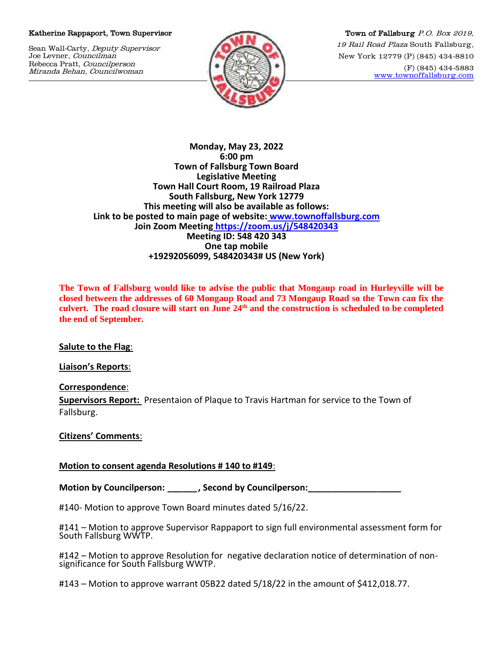## Katherine Rappaport, Town Supervisor

Sean Wall-Carty, Deputy Supervisor Joe Levner, Councilman Rebecca Pratt, Councilperson Miranda Behan, Councilwoman



Town of Fallsburg P.O. Box 2019, 19 Rail Road Plaza South Fallsburg, New York 12779 (P) (845) 434-8810 (F) (845) 434-5883 [www.townoffallsburg.com](http://www.townoffallsburg.com/)

**Monday, May 23, 2022 6:00 pm Town of Fallsburg Town Board Legislative Meeting Town Hall Court Room, 19 Railroad Plaza South Fallsburg, New York 12779 This meeting will also be available as follows: Link to be posted to main page of website: [www.townoffallsburg.com](http://www.townoffallsburg.com/)  Join Zoom Meeting <https://zoom.us/j/548420343> Meeting ID: 548 420 343 One tap mobile +19292056099, 548420343# US (New York)**

**The Town of Fallsburg would like to advise the public that Mongaup road in Hurleyville will be closed between the addresses of 60 Mongaup Road and 73 Mongaup Road so the Town can fix the culvert. The road closure will start on June 24th and the construction is scheduled to be completed the end of September.**

**Salute to the Flag**:

**Liaison's Reports**:

**Correspondence**:

**Supervisors Report:** Presentaion of Plaque to Travis Hartman for service to the Town of Fallsburg.

## **Citizens' Comments**:

## **Motion to consent agenda Resolutions # 140 to #149**:

**Motion by Councilperson: \_\_\_\_\_\_, Second by Councilperson:\_\_\_\_\_\_\_\_\_\_\_\_\_\_\_\_\_\_\_**

#140- Motion to approve Town Board minutes dated 5/16/22.

#141 – Motion to approve Supervisor Rappaport to sign full environmental assessment form for South Fallsburg WWTP.

#142 – Motion to approve Resolution for negative declaration notice of determination of nonsignificance for South Fallsburg WWTP.

#143 – Motion to approve warrant 05B22 dated 5/18/22 in the amount of \$412,018.77.